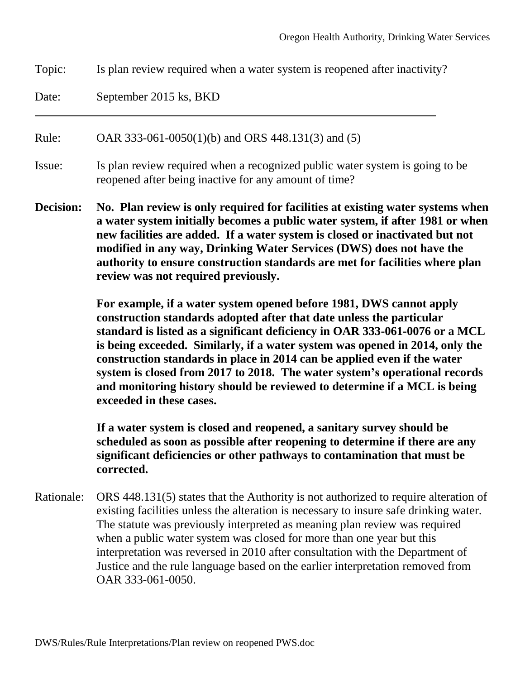Topic: Is plan review required when a water system is reopened after inactivity?

Date: September 2015 ks, BKD

Rule: OAR 333-061-0050(1)(b) and ORS 448.131(3) and (5)

- Issue: Is plan review required when a recognized public water system is going to be reopened after being inactive for any amount of time?
- **Decision: No. Plan review is only required for facilities at existing water systems when a water system initially becomes a public water system, if after 1981 or when new facilities are added. If a water system is closed or inactivated but not modified in any way, Drinking Water Services (DWS) does not have the authority to ensure construction standards are met for facilities where plan review was not required previously.**

**For example, if a water system opened before 1981, DWS cannot apply construction standards adopted after that date unless the particular standard is listed as a significant deficiency in OAR 333-061-0076 or a MCL is being exceeded. Similarly, if a water system was opened in 2014, only the construction standards in place in 2014 can be applied even if the water system is closed from 2017 to 2018. The water system's operational records and monitoring history should be reviewed to determine if a MCL is being exceeded in these cases.**

**If a water system is closed and reopened, a sanitary survey should be scheduled as soon as possible after reopening to determine if there are any significant deficiencies or other pathways to contamination that must be corrected.**

Rationale: ORS 448.131(5) states that the Authority is not authorized to require alteration of existing facilities unless the alteration is necessary to insure safe drinking water. The statute was previously interpreted as meaning plan review was required when a public water system was closed for more than one year but this interpretation was reversed in 2010 after consultation with the Department of Justice and the rule language based on the earlier interpretation removed from OAR 333-061-0050.